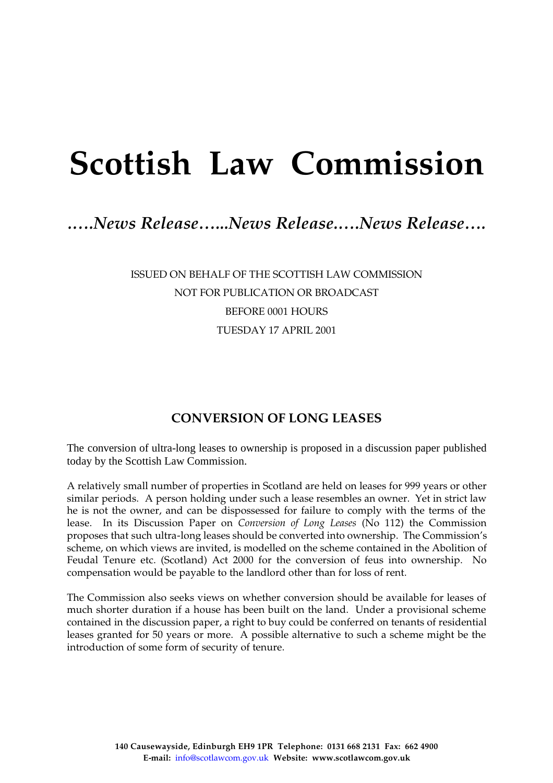# **Scottish Law Commission**

## *.….News Release…...News Release.….News Release….*

ISSUED ON BEHALF OF THE SCOTTISH LAW COMMISSION NOT FOR PUBLICATION OR BROADCAST BEFORE 0001 HOURS TUESDAY 17 APRIL 2001

### **CONVERSION OF LONG LEASES**

The conversion of ultra-long leases to ownership is proposed in a discussion paper published today by the Scottish Law Commission.

A relatively small number of properties in Scotland are held on leases for 999 years or other similar periods. A person holding under such a lease resembles an owner. Yet in strict law he is not the owner, and can be dispossessed for failure to comply with the terms of the lease. In its Discussion Paper on *Conversion of Long Leases* (No 112) the Commission proposes that such ultra-long leases should be converted into ownership. The Commission's scheme, on which views are invited, is modelled on the scheme contained in the Abolition of Feudal Tenure etc. (Scotland) Act 2000 for the conversion of feus into ownership. No compensation would be payable to the landlord other than for loss of rent.

The Commission also seeks views on whether conversion should be available for leases of much shorter duration if a house has been built on the land. Under a provisional scheme contained in the discussion paper, a right to buy could be conferred on tenants of residential leases granted for 50 years or more. A possible alternative to such a scheme might be the introduction of some form of security of tenure.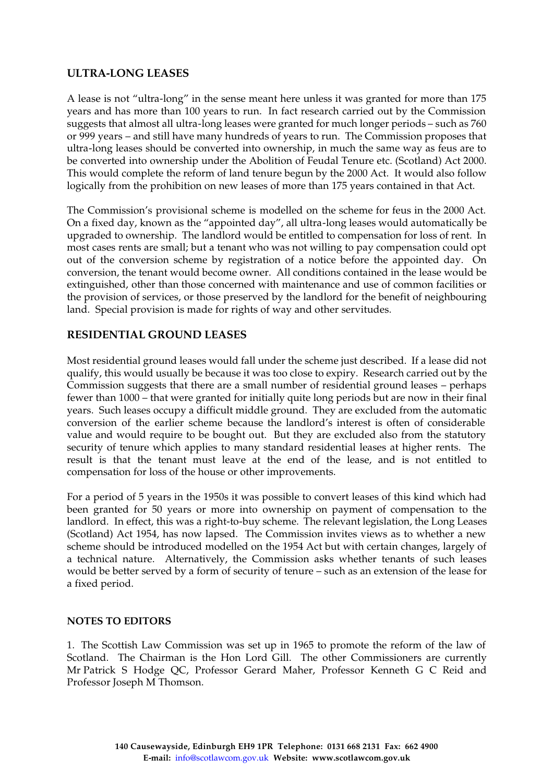#### **ULTRA-LONG LEASES**

A lease is not "ultra-long" in the sense meant here unless it was granted for more than 175 years and has more than 100 years to run. In fact research carried out by the Commission suggests that almost all ultra-long leases were granted for much longer periods – such as 760 or 999 years – and still have many hundreds of years to run. The Commission proposes that ultra-long leases should be converted into ownership, in much the same way as feus are to be converted into ownership under the Abolition of Feudal Tenure etc. (Scotland) Act 2000. This would complete the reform of land tenure begun by the 2000 Act. It would also follow logically from the prohibition on new leases of more than 175 years contained in that Act.

The Commission's provisional scheme is modelled on the scheme for feus in the 2000 Act. On a fixed day, known as the "appointed day", all ultra-long leases would automatically be upgraded to ownership. The landlord would be entitled to compensation for loss of rent. In most cases rents are small; but a tenant who was not willing to pay compensation could opt out of the conversion scheme by registration of a notice before the appointed day. On conversion, the tenant would become owner. All conditions contained in the lease would be extinguished, other than those concerned with maintenance and use of common facilities or the provision of services, or those preserved by the landlord for the benefit of neighbouring land. Special provision is made for rights of way and other servitudes.

#### **RESIDENTIAL GROUND LEASES**

Most residential ground leases would fall under the scheme just described. If a lease did not qualify, this would usually be because it was too close to expiry. Research carried out by the Commission suggests that there are a small number of residential ground leases – perhaps fewer than 1000 – that were granted for initially quite long periods but are now in their final years. Such leases occupy a difficult middle ground. They are excluded from the automatic conversion of the earlier scheme because the landlord's interest is often of considerable value and would require to be bought out. But they are excluded also from the statutory security of tenure which applies to many standard residential leases at higher rents. The result is that the tenant must leave at the end of the lease, and is not entitled to compensation for loss of the house or other improvements.

For a period of 5 years in the 1950s it was possible to convert leases of this kind which had been granted for 50 years or more into ownership on payment of compensation to the landlord. In effect, this was a right-to-buy scheme. The relevant legislation, the Long Leases (Scotland) Act 1954, has now lapsed. The Commission invites views as to whether a new scheme should be introduced modelled on the 1954 Act but with certain changes, largely of a technical nature. Alternatively, the Commission asks whether tenants of such leases would be better served by a form of security of tenure – such as an extension of the lease for a fixed period.

#### **NOTES TO EDITORS**

1. The Scottish Law Commission was set up in 1965 to promote the reform of the law of Scotland. The Chairman is the Hon Lord Gill. The other Commissioners are currently Mr Patrick S Hodge QC, Professor Gerard Maher, Professor Kenneth G C Reid and Professor Joseph M Thomson.